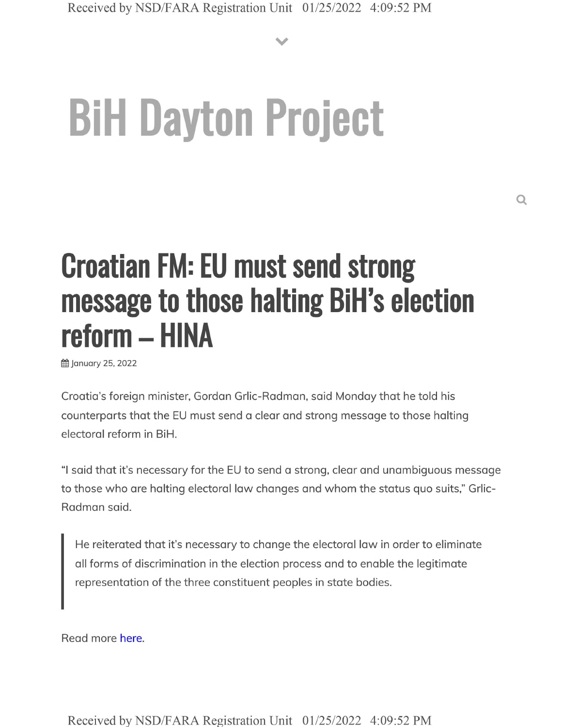**V**

# **BiH Dayton Project**

## **Croatian FM: EU must send strong message to those halting BiH's election reform - HINA**

**曲 January 25, 2022** 

Croatia's foreign minister, Gordon Grlic-Radman, said Monday that he told his counterparts that the EU must send a clear and strong message to those halting electoral reform in BiH.

"I said that it's necessary for the EU to send a strong, clear and unambiguous message to those who are halting electoral law changes and whom the status quo suits," Grlic-Radman said.

He reiterated that it's necessary to change the electoral law in order to eliminate all forms of discrimination in the election process and to enable the legitimate representation of the three constituent peoples in state bodies.

Read more here.

Received by NSD/FARA Registration Unit 01/25/2022 4:09:52 PM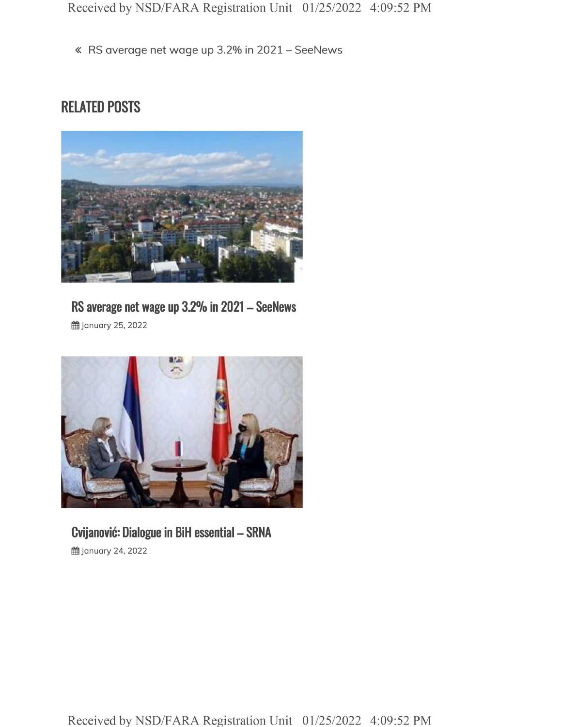« RS average net wage up 3.2% in <sup>2021</sup> - SeeNews

#### **RELATED POSTS**



#### **RS average net wage up 3.2% in <sup>2021</sup> - SeeNews**

**曲 January 25, 2022** 



### **Cvijanovic: Dialogue in BiH essential - SRNA**

**il** January 24, 2022